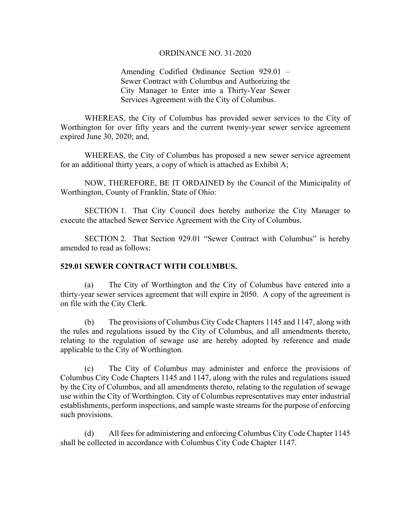## ORDINANCE NO. 31-2020

Amending Codified Ordinance Section 929.01 – Sewer Contract with Columbus and Authorizing the City Manager to Enter into a Thirty-Year Sewer Services Agreement with the City of Columbus.

 WHEREAS, the City of Columbus has provided sewer services to the City of Worthington for over fifty years and the current twenty-year sewer service agreement expired June 30, 2020; and,

WHEREAS, the City of Columbus has proposed a new sewer service agreement for an additional thirty years, a copy of which is attached as Exhibit A;

 NOW, THEREFORE, BE IT ORDAINED by the Council of the Municipality of Worthington, County of Franklin, State of Ohio:

 SECTION 1. That City Council does hereby authorize the City Manager to execute the attached Sewer Service Agreement with the City of Columbus.

SECTION 2. That Section 929.01 "Sewer Contract with Columbus" is hereby amended to read as follows:

## **529.01 SEWER CONTRACT WITH COLUMBUS.**

(a) The City of Worthington and the City of Columbus have entered into a thirty-year sewer services agreement that will expire in 2050. A copy of the agreement is on file with the City Clerk.

(b) The provisions of Columbus City Code Chapters 1145 and 1147, along with the rules and regulations issued by the City of Columbus, and all amendments thereto, relating to the regulation of sewage use are hereby adopted by reference and made applicable to the City of Worthington.

(c) The City of Columbus may administer and enforce the provisions of Columbus City Code Chapters 1145 and 1147, along with the rules and regulations issued by the City of Columbus, and all amendments thereto, relating to the regulation of sewage use within the City of Worthington. City of Columbus representatives may enter industrial establishments, perform inspections, and sample waste streams for the purpose of enforcing such provisions.

(d) All fees for administering and enforcing Columbus City Code Chapter 1145 shall be collected in accordance with Columbus City Code Chapter 1147.